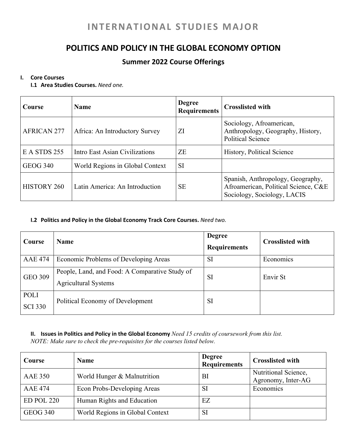# **INTERNATIONAL STUDIES MAJOR**

## **POLITICS AND POLICY IN THE GLOBAL ECONOMY OPTION**

### **Summer 2022 Course Offerings**

#### **I. Core Courses**

**I.1 Area Studies Courses.** *Need one.*

| Course             | Name                            | <b>Degree</b><br><b>Requirements</b> | <b>Crosslisted with</b>                                                                                  |
|--------------------|---------------------------------|--------------------------------------|----------------------------------------------------------------------------------------------------------|
| <b>AFRICAN 277</b> | Africa: An Introductory Survey  | ZI                                   | Sociology, Afroamerican,<br>Anthropology, Geography, History,<br><b>Political Science</b>                |
| E A STDS 255       | Intro East Asian Civilizations  | ZE                                   | History, Political Science                                                                               |
| <b>GEOG 340</b>    | World Regions in Global Context | <b>SI</b>                            |                                                                                                          |
| <b>HISTORY 260</b> | Latin America: An Introduction  | SE                                   | Spanish, Anthropology, Geography,<br>Afroamerican, Political Science, C&E<br>Sociology, Sociology, LACIS |

#### **I.2 Politics and Policy in the Global Economy Track Core Courses.** *Need two.*

| Course                 | <b>Name</b>                                                                   | <b>Degree</b><br><b>Requirements</b> | <b>Crosslisted with</b> |
|------------------------|-------------------------------------------------------------------------------|--------------------------------------|-------------------------|
| <b>AAE 474</b>         | Economic Problems of Developing Areas                                         | <b>SI</b>                            | Economics               |
| <b>GEO 309</b>         | People, Land, and Food: A Comparative Study of<br><b>Agricultural Systems</b> | <b>SI</b>                            | Envir St                |
| POLI<br><b>SCI 330</b> | Political Economy of Development                                              | <b>SI</b>                            |                         |

#### **II. Issues in Politics and Policy in the Global Economy** *Need 15 credits of coursework from this list. NOTE: Make sure to check the pre-requisites for the courses listed below.*

| Course          | <b>Name</b>                     | <b>Degree</b><br><b>Requirements</b> | <b>Crosslisted with</b>         |
|-----------------|---------------------------------|--------------------------------------|---------------------------------|
| <b>AAE 350</b>  | World Hunger & Malnutrition     | BI                                   | Nutritional Science,            |
| <b>AAE 474</b>  | Econ Probs-Developing Areas     | <b>SI</b>                            | Agronomy, Inter-AG<br>Economics |
| ED POL 220      | Human Rights and Education      | EZ                                   |                                 |
| <b>GEOG 340</b> | World Regions in Global Context | <b>SI</b>                            |                                 |